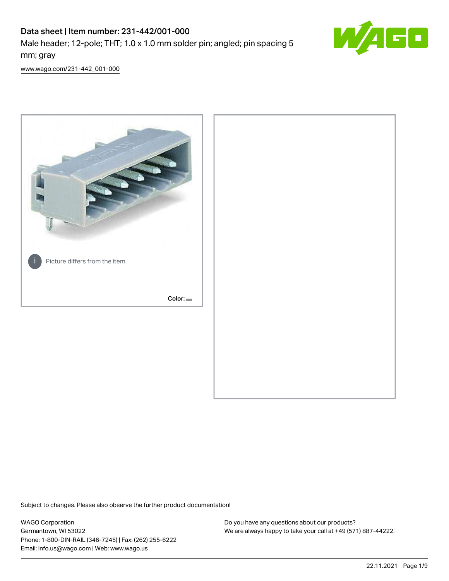# Data sheet | Item number: 231-442/001-000

Male header; 12-pole; THT; 1.0 x 1.0 mm solder pin; angled; pin spacing 5 mm; gray



[www.wago.com/231-442\\_001-000](http://www.wago.com/231-442_001-000)



Subject to changes. Please also observe the further product documentation!

WAGO Corporation Germantown, WI 53022 Phone: 1-800-DIN-RAIL (346-7245) | Fax: (262) 255-6222 Email: info.us@wago.com | Web: www.wago.us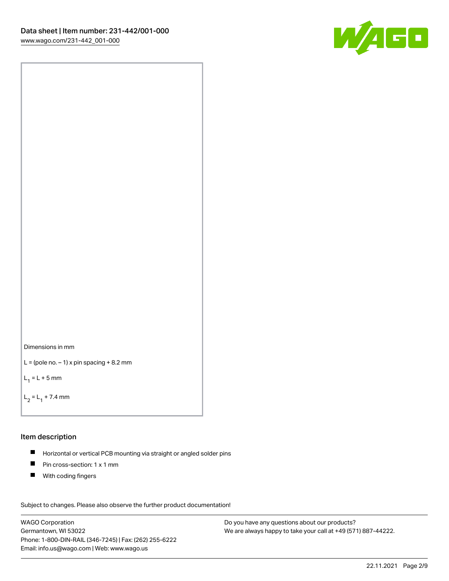



```
L = (pole no. -1) x pin spacing +8.2 mm
```
 $L_1 = L + 5$  mm

```
L_2 = L_1 + 7.4 mm
```
#### Item description

- Horizontal or vertical PCB mounting via straight or angled solder pins  $\blacksquare$
- $\blacksquare$ Pin cross-section: 1 x 1 mm
- **With coding fingers**

Subject to changes. Please also observe the further product documentation! Data

WAGO Corporation Germantown, WI 53022 Phone: 1-800-DIN-RAIL (346-7245) | Fax: (262) 255-6222 Email: info.us@wago.com | Web: www.wago.us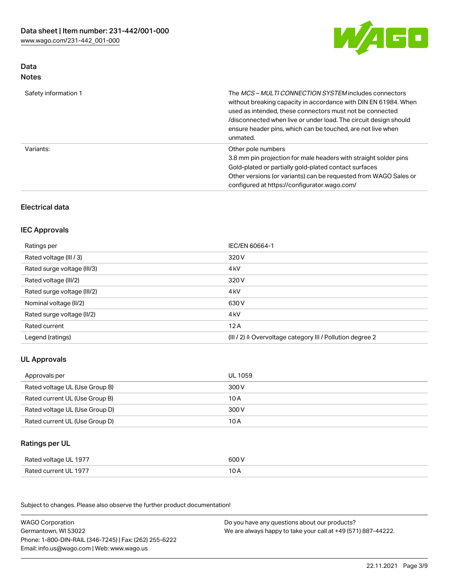

### Data Notes

| Safety information 1 | The <i>MCS – MULTI CONNECTION SYSTEM</i> includes connectors<br>without breaking capacity in accordance with DIN EN 61984. When<br>used as intended, these connectors must not be connected<br>/disconnected when live or under load. The circuit design should<br>ensure header pins, which can be touched, are not live when<br>unmated. |
|----------------------|--------------------------------------------------------------------------------------------------------------------------------------------------------------------------------------------------------------------------------------------------------------------------------------------------------------------------------------------|
| Variants:            | Other pole numbers<br>3.8 mm pin projection for male headers with straight solder pins<br>Gold-plated or partially gold-plated contact surfaces<br>Other versions (or variants) can be requested from WAGO Sales or<br>configured at https://configurator.wago.com/                                                                        |

# Electrical data

# IEC Approvals

| Ratings per                 | IEC/EN 60664-1                                                        |
|-----------------------------|-----------------------------------------------------------------------|
| Rated voltage (III / 3)     | 320 V                                                                 |
| Rated surge voltage (III/3) | 4 <sub>k</sub> V                                                      |
| Rated voltage (III/2)       | 320 V                                                                 |
| Rated surge voltage (III/2) | 4 <sub>k</sub> V                                                      |
| Nominal voltage (II/2)      | 630 V                                                                 |
| Rated surge voltage (II/2)  | 4 <sub>k</sub> V                                                      |
| Rated current               | 12A                                                                   |
| Legend (ratings)            | $(III / 2)$ $\triangle$ Overvoltage category III / Pollution degree 2 |

# UL Approvals

| Approvals per                  | UL 1059 |
|--------------------------------|---------|
| Rated voltage UL (Use Group B) | 300 V   |
| Rated current UL (Use Group B) | 10 A    |
| Rated voltage UL (Use Group D) | 300 V   |
| Rated current UL (Use Group D) | 10 A    |

### Ratings per UL

| Rated voltage UL 1977 | 600 V |
|-----------------------|-------|
| Rated current UL 1977 | 10 A  |

Subject to changes. Please also observe the further product documentation!

| <b>WAGO Corporation</b>                                | Do you have any questions about our products?                 |
|--------------------------------------------------------|---------------------------------------------------------------|
| Germantown, WI 53022                                   | We are always happy to take your call at +49 (571) 887-44222. |
| Phone: 1-800-DIN-RAIL (346-7245)   Fax: (262) 255-6222 |                                                               |
| Email: info.us@wago.com   Web: www.wago.us             |                                                               |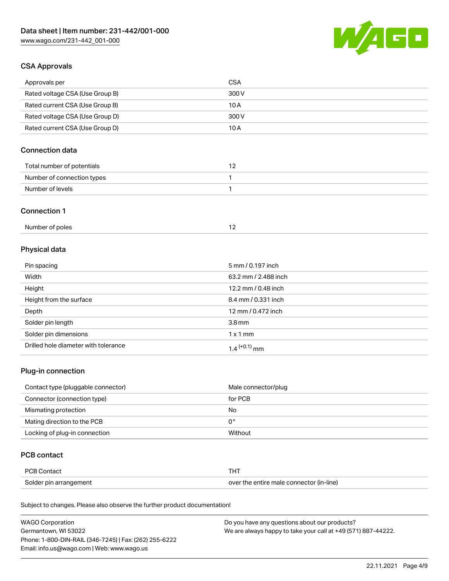

## CSA Approvals

| Approvals per                   | CSA   |
|---------------------------------|-------|
| Rated voltage CSA (Use Group B) | 300 V |
| Rated current CSA (Use Group B) | 10 A  |
| Rated voltage CSA (Use Group D) | 300 V |
| Rated current CSA (Use Group D) | 10 A  |

# Connection data

| Total number of potentials |  |
|----------------------------|--|
| Number of connection types |  |
| Number of levels           |  |

#### Connection 1

# Physical data

| Pin spacing                          | 5 mm / 0.197 inch    |
|--------------------------------------|----------------------|
| Width                                | 63.2 mm / 2.488 inch |
| Height                               | 12.2 mm / 0.48 inch  |
| Height from the surface              | 8.4 mm / 0.331 inch  |
| Depth                                | 12 mm / 0.472 inch   |
| Solder pin length                    | 3.8 <sub>mm</sub>    |
| Solder pin dimensions                | $1 \times 1$ mm      |
| Drilled hole diameter with tolerance | $1.4$ $(+0.1)$ mm    |

# Plug-in connection

| Contact type (pluggable connector) | Male connector/plug |
|------------------------------------|---------------------|
| Connector (connection type)        | for PCB             |
| Mismating protection               | No                  |
| Mating direction to the PCB        | 0°                  |
| Locking of plug-in connection      | Without             |

## PCB contact

| PCB Contact            |                                          |
|------------------------|------------------------------------------|
| Solder pin arrangement | over the entire male connector (in-line) |

Subject to changes. Please also observe the further product documentation!

| <b>WAGO Corporation</b>                                | Do you have any questions about our products?                 |
|--------------------------------------------------------|---------------------------------------------------------------|
| Germantown, WI 53022                                   | We are always happy to take your call at +49 (571) 887-44222. |
| Phone: 1-800-DIN-RAIL (346-7245)   Fax: (262) 255-6222 |                                                               |
| Email: info.us@wago.com   Web: www.wago.us             |                                                               |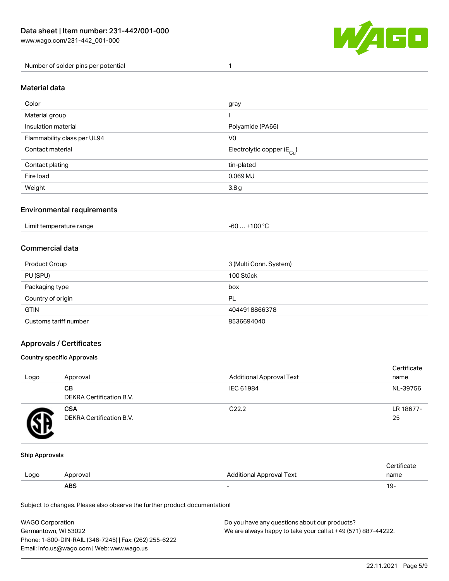

Number of solder pins per potential 1

#### Material data

| Color                       | gray                                    |
|-----------------------------|-----------------------------------------|
| Material group              |                                         |
| Insulation material         | Polyamide (PA66)                        |
| Flammability class per UL94 | V <sub>0</sub>                          |
| Contact material            | Electrolytic copper ( $E_{\text{Cu}}$ ) |
| Contact plating             | tin-plated                              |
| Fire load                   | $0.069$ MJ                              |
| Weight                      | 3.8g                                    |

### Environmental requirements

Limit temperature range  $-60... +100$  °C

### Commercial data

| Product Group         | 3 (Multi Conn. System) |
|-----------------------|------------------------|
| PU (SPU)              | 100 Stück              |
| Packaging type        | box                    |
| Country of origin     | PL                     |
| <b>GTIN</b>           | 4044918866378          |
| Customs tariff number | 8536694040             |

### Approvals / Certificates

#### Country specific Approvals

| Logo | Approval                               | <b>Additional Approval Text</b> | Certificate<br>name |
|------|----------------------------------------|---------------------------------|---------------------|
|      | CВ<br><b>DEKRA Certification B.V.</b>  | IEC 61984                       | NL-39756            |
|      | <b>CSA</b><br>DEKRA Certification B.V. | C <sub>22.2</sub>               | LR 18677-<br>25     |

#### Ship Approvals

|      | <b>ABS</b> |                          | 19-  |
|------|------------|--------------------------|------|
| LOQO | Approval   | Additional Approval Text | name |
|      |            |                          |      |

Subject to changes. Please also observe the further product documentation!

| <b>WAGO Corporation</b>                                                               | Do you have any questions about our products? |  |
|---------------------------------------------------------------------------------------|-----------------------------------------------|--|
| We are always happy to take your call at +49 (571) 887-44222.<br>Germantown. WI 53022 |                                               |  |
| Phone: 1-800-DIN-RAIL (346-7245)   Fax: (262) 255-6222                                |                                               |  |
| Email: info.us@wago.com   Web: www.wago.us                                            |                                               |  |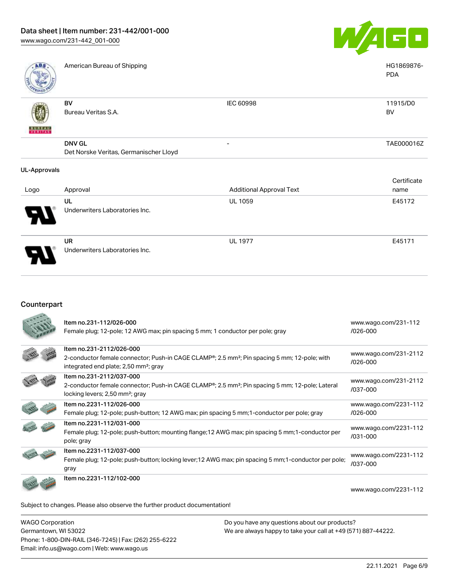

PDA

|--|

American Bureau of Shipping National American Bureau of Shipping National American Bureau of Shipping National American Bureau of Shipping National American Bureau of Shipping National American Bureau of Shipping National

| BV<br>IEC 60998<br><b>BV</b><br>Bureau Veritas S.A.<br>还<br><b>BUREAU</b><br>VERITAS<br><b>DNV GL</b><br>- | ROVED Y |                                        |            |
|------------------------------------------------------------------------------------------------------------|---------|----------------------------------------|------------|
|                                                                                                            |         |                                        | 11915/D0   |
|                                                                                                            |         |                                        | TAE000016Z |
|                                                                                                            |         | Det Norske Veritas, Germanischer Lloyd |            |

#### UL-Approvals

| Logo                  | Approval                                    | <b>Additional Approval Text</b> | Certificate<br>name |
|-----------------------|---------------------------------------------|---------------------------------|---------------------|
| $\boldsymbol{\theta}$ | UL<br>Underwriters Laboratories Inc.        | <b>UL 1059</b>                  | E45172              |
| p                     | <b>UR</b><br>Underwriters Laboratories Inc. | <b>UL 1977</b>                  | E45171              |

### Counterpart

|                                                                            | Item no.231-112/026-000<br>Female plug; 12-pole; 12 AWG max; pin spacing 5 mm; 1 conductor per pole; gray                                                                                              | www.wago.com/231-112<br>$/026 - 000$  |
|----------------------------------------------------------------------------|--------------------------------------------------------------------------------------------------------------------------------------------------------------------------------------------------------|---------------------------------------|
|                                                                            | Item no.231-2112/026-000<br>2-conductor female connector; Push-in CAGE CLAMP <sup>®</sup> ; 2.5 mm <sup>2</sup> ; Pin spacing 5 mm; 12-pole; with<br>integrated end plate; 2,50 mm <sup>2</sup> ; gray | www.wago.com/231-2112<br>$/026 - 000$ |
|                                                                            | Item no.231-2112/037-000<br>2-conductor female connector; Push-in CAGE CLAMP <sup>®</sup> ; 2.5 mm <sup>2</sup> ; Pin spacing 5 mm; 12-pole; Lateral<br>locking levers; 2,50 mm <sup>2</sup> ; gray    | www.wago.com/231-2112<br>/037-000     |
|                                                                            | Item no.2231-112/026-000<br>Female plug; 12-pole; push-button; 12 AWG max; pin spacing 5 mm; 1-conductor per pole; gray                                                                                | www.wago.com/2231-112<br>/026-000     |
|                                                                            | Item no.2231-112/031-000<br>Female plug; 12-pole; push-button; mounting flange; 12 AWG max; pin spacing 5 mm; 1-conductor per<br>pole; gray                                                            | www.wago.com/2231-112<br>$/031 - 000$ |
|                                                                            | Item no.2231-112/037-000<br>Female plug; 12-pole; push-button; locking lever; 12 AWG max; pin spacing 5 mm; 1-conductor per pole;<br>gray                                                              | www.wago.com/2231-112<br>/037-000     |
|                                                                            | Item no.2231-112/102-000                                                                                                                                                                               | www.wago.com/2231-112                 |
| Subject to changes. Please also observe the further product documentation! |                                                                                                                                                                                                        |                                       |

| <b>WAGO Corporation</b>                                |
|--------------------------------------------------------|
| Germantown, WI 53022                                   |
| Phone: 1-800-DIN-RAIL (346-7245)   Fax: (262) 255-6222 |
| Email: info.us@wago.com   Web: www.wago.us             |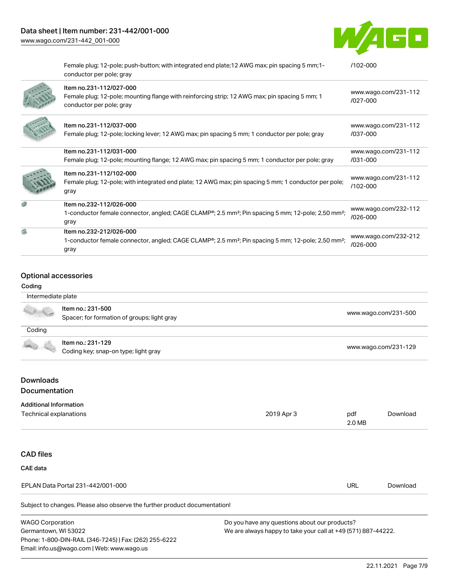

|   | Female plug; 12-pole; push-button; with integrated end plate; 12 AWG max; pin spacing 5 mm; 1-<br>conductor per pole; gray                                                 | $/102 - 000$                         |
|---|----------------------------------------------------------------------------------------------------------------------------------------------------------------------------|--------------------------------------|
|   | Item no.231-112/027-000<br>Female plug; 12-pole; mounting flange with reinforcing strip; 12 AWG max; pin spacing 5 mm; 1<br>conductor per pole; gray                       | www.wago.com/231-112<br>/027-000     |
|   | Item no.231-112/037-000<br>Female plug; 12-pole; locking lever; 12 AWG max; pin spacing 5 mm; 1 conductor per pole; gray                                                   | www.wago.com/231-112<br>/037-000     |
|   | Item no.231-112/031-000<br>Female plug; 12-pole; mounting flange; 12 AWG max; pin spacing 5 mm; 1 conductor per pole; gray                                                 | www.wago.com/231-112<br>$/031 - 000$ |
|   | Item no.231-112/102-000<br>Female plug; 12-pole; with integrated end plate; 12 AWG max; pin spacing 5 mm; 1 conductor per pole;<br>gray                                    | www.wago.com/231-112<br>/102-000     |
|   | Item no.232-112/026-000<br>1-conductor female connector, angled; CAGE CLAMP®; 2.5 mm <sup>2</sup> ; Pin spacing 5 mm; 12-pole; 2,50 mm <sup>2</sup> ;<br>gray              | www.wago.com/232-112<br>$/026 - 000$ |
| 県 | Item no.232-212/026-000<br>1-conductor female connector, angled; CAGE CLAMP <sup>®</sup> ; 2.5 mm <sup>2</sup> ; Pin spacing 5 mm; 12-pole; 2,50 mm <sup>2</sup> ;<br>gray | www.wago.com/232-212<br>/026-000     |

### Optional accessories

### Coding

| Intermediate plate |                                                                  |                      |
|--------------------|------------------------------------------------------------------|----------------------|
|                    | Item no.: 231-500<br>Spacer; for formation of groups; light gray | www.wago.com/231-500 |
| Coding             |                                                                  |                      |
|                    | Item no.: 231-129                                                |                      |
|                    | Coding key; snap-on type; light gray                             | www.wago.com/231-129 |
|                    |                                                                  |                      |
| <b>Downloads</b>   |                                                                  |                      |

### Documentation

#### Additional Information

| Technical explanations                                                     | 2019 Apr 3 | pdf<br>2.0 MB | Download |
|----------------------------------------------------------------------------|------------|---------------|----------|
|                                                                            |            |               |          |
| <b>CAD files</b>                                                           |            |               |          |
| CAE data                                                                   |            |               |          |
| EPLAN Data Portal 231-442/001-000                                          |            | URL           | Download |
| Subject to changes. Please also observe the further product documentation! |            |               |          |

| <b>WAGO Corporation</b>                                |  |
|--------------------------------------------------------|--|
| Germantown, WI 53022                                   |  |
| Phone: 1-800-DIN-RAIL (346-7245)   Fax: (262) 255-6222 |  |
| Email: info.us@wago.com   Web: www.wago.us             |  |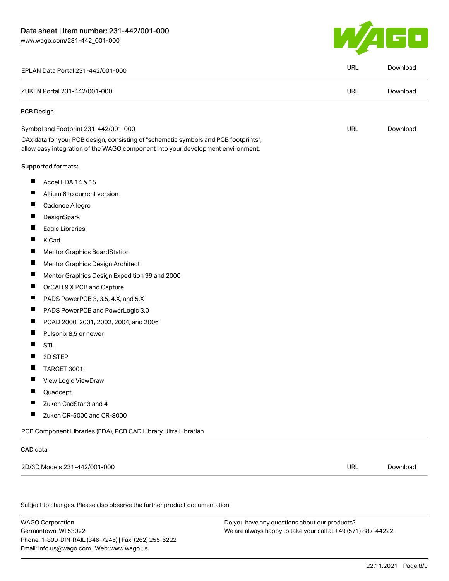

|                                                                                                                                                                        | <b>URL</b> | Download |
|------------------------------------------------------------------------------------------------------------------------------------------------------------------------|------------|----------|
| EPLAN Data Portal 231-442/001-000                                                                                                                                      |            |          |
| ZUKEN Portal 231-442/001-000                                                                                                                                           | <b>URL</b> | Download |
| <b>PCB Design</b>                                                                                                                                                      |            |          |
| Symbol and Footprint 231-442/001-000                                                                                                                                   | <b>URL</b> | Download |
| CAx data for your PCB design, consisting of "schematic symbols and PCB footprints",<br>allow easy integration of the WAGO component into your development environment. |            |          |
| <b>Supported formats:</b>                                                                                                                                              |            |          |
| ш<br>Accel EDA 14 & 15                                                                                                                                                 |            |          |
| Ш<br>Altium 6 to current version                                                                                                                                       |            |          |
| Ш<br>Cadence Allegro                                                                                                                                                   |            |          |
| ш<br>DesignSpark                                                                                                                                                       |            |          |
| Ц<br>Eagle Libraries                                                                                                                                                   |            |          |
| ш<br>KiCad                                                                                                                                                             |            |          |
| ш<br><b>Mentor Graphics BoardStation</b>                                                                                                                               |            |          |
| Ц<br>Mentor Graphics Design Architect                                                                                                                                  |            |          |
| Щ<br>Mentor Graphics Design Expedition 99 and 2000                                                                                                                     |            |          |
| $\blacksquare$<br>OrCAD 9.X PCB and Capture                                                                                                                            |            |          |
| ш<br>PADS PowerPCB 3, 3.5, 4.X, and 5.X                                                                                                                                |            |          |
| Ш<br>PADS PowerPCB and PowerLogic 3.0                                                                                                                                  |            |          |
| П<br>PCAD 2000, 2001, 2002, 2004, and 2006                                                                                                                             |            |          |
| $\blacksquare$<br>Pulsonix 8.5 or newer                                                                                                                                |            |          |
| П<br><b>STL</b>                                                                                                                                                        |            |          |
| ш<br>3D STEP                                                                                                                                                           |            |          |
| $\blacksquare$<br><b>TARGET 3001!</b>                                                                                                                                  |            |          |
| Щ<br>View Logic ViewDraw                                                                                                                                               |            |          |
| Quadcept                                                                                                                                                               |            |          |
| Zuken CadStar 3 and 4<br>a ka                                                                                                                                          |            |          |
| Zuken CR-5000 and CR-8000                                                                                                                                              |            |          |
| PCB Component Libraries (EDA), PCB CAD Library Ultra Librarian                                                                                                         |            |          |
| CAD data                                                                                                                                                               |            |          |
| 2D/3D Models 231-442/001-000                                                                                                                                           | <b>URL</b> | Download |
|                                                                                                                                                                        |            |          |
| Subject to changes. Please also observe the further product documentation!                                                                                             |            |          |
|                                                                                                                                                                        |            |          |

WAGO Corporation Germantown, WI 53022 Phone: 1-800-DIN-RAIL (346-7245) | Fax: (262) 255-6222 Email: info.us@wago.com | Web: www.wago.us